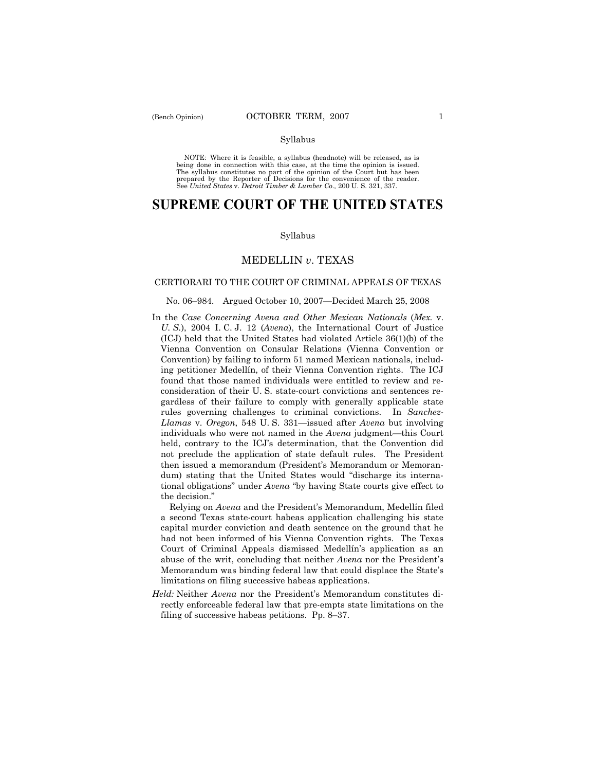NOTE: Where it is feasible, a syllabus (headnote) will be released, as is being done in connection with this case, at the time the opinion is issued. The syllabus constitutes no part of the opinion of the Court but has been<br>prepared by the Reporter of Decisions for the convenience of the reader.<br>See United States v. Detroit Timber & Lumber Co., 200 U. S. 321, 337.

# **SUPREME COURT OF THE UNITED STATES**

#### Syllabus

# MEDELLIN *v*. TEXAS

# CERTIORARI TO THE COURT OF CRIMINAL APPEALS OF TEXAS

# No. 06–984. Argued October 10, 2007—Decided March 25, 2008

In the *Case Concerning Avena and Other Mexican Nationals* (*Mex.* v. *U. S.*), 2004 I. C. J. 12 (*Avena*), the International Court of Justice (ICJ) held that the United States had violated Article 36(1)(b) of the Vienna Convention on Consular Relations (Vienna Convention or Convention) by failing to inform 51 named Mexican nationals, including petitioner Medellín, of their Vienna Convention rights. The ICJ found that those named individuals were entitled to review and reconsideration of their U. S. state-court convictions and sentences regardless of their failure to comply with generally applicable state rules governing challenges to criminal convictions. In *Sanchez-Llamas* v. *Oregon*, 548 U. S. 331—issued after *Avena* but involving individuals who were not named in the *Avena* judgment—this Court held, contrary to the ICJ's determination, that the Convention did not preclude the application of state default rules. The President then issued a memorandum (President's Memorandum or Memorandum) stating that the United States would "discharge its international obligations" under *Avena* "by having State courts give effect to the decision."

 Relying on *Avena* and the President's Memorandum, Medellín filed a second Texas state-court habeas application challenging his state capital murder conviction and death sentence on the ground that he had not been informed of his Vienna Convention rights. The Texas Court of Criminal Appeals dismissed Medellín's application as an abuse of the writ, concluding that neither *Avena* nor the President's Memorandum was binding federal law that could displace the State's limitations on filing successive habeas applications.

*Held:* Neither *Avena* nor the President's Memorandum constitutes directly enforceable federal law that pre-empts state limitations on the filing of successive habeas petitions. Pp. 8–37.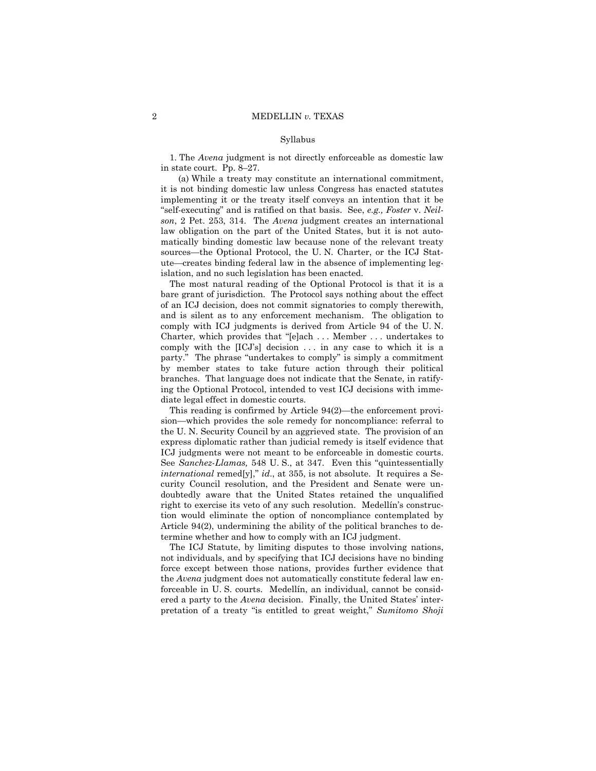1. The *Avena* judgment is not directly enforceable as domestic law in state court. Pp. 8–27.

 (a) While a treaty may constitute an international commitment, it is not binding domestic law unless Congress has enacted statutes implementing it or the treaty itself conveys an intention that it be "self-executing" and is ratified on that basis. See, *e.g., Foster* v. *Neilson*, 2 Pet. 253, 314. The *Avena* judgment creates an international law obligation on the part of the United States, but it is not automatically binding domestic law because none of the relevant treaty sources—the Optional Protocol, the U. N. Charter, or the ICJ Statute—creates binding federal law in the absence of implementing legislation, and no such legislation has been enacted.

 The most natural reading of the Optional Protocol is that it is a bare grant of jurisdiction. The Protocol says nothing about the effect of an ICJ decision, does not commit signatories to comply therewith, and is silent as to any enforcement mechanism. The obligation to comply with ICJ judgments is derived from Article 94 of the U. N. Charter, which provides that "[e]ach . . . Member . . . undertakes to comply with the [ICJ's] decision ... in any case to which it is a party." The phrase "undertakes to comply" is simply a commitment by member states to take future action through their political branches. That language does not indicate that the Senate, in ratifying the Optional Protocol, intended to vest ICJ decisions with immediate legal effect in domestic courts.

 This reading is confirmed by Article 94(2)—the enforcement provision—which provides the sole remedy for noncompliance: referral to the U. N. Security Council by an aggrieved state. The provision of an express diplomatic rather than judicial remedy is itself evidence that ICJ judgments were not meant to be enforceable in domestic courts. See *Sanchez*-*Llamas,* 548 U. S., at 347. Even this "quintessentially *international* remed[y]," *id*., at 355, is not absolute. It requires a Security Council resolution, and the President and Senate were undoubtedly aware that the United States retained the unqualified right to exercise its veto of any such resolution. Medellín's construction would eliminate the option of noncompliance contemplated by Article 94(2), undermining the ability of the political branches to determine whether and how to comply with an ICJ judgment.

 The ICJ Statute, by limiting disputes to those involving nations, not individuals, and by specifying that ICJ decisions have no binding force except between those nations, provides further evidence that the *Avena* judgment does not automatically constitute federal law enforceable in U. S. courts. Medellín, an individual, cannot be considered a party to the *Avena* decision. Finally, the United States' interpretation of a treaty "is entitled to great weight," *Sumitomo Shoji*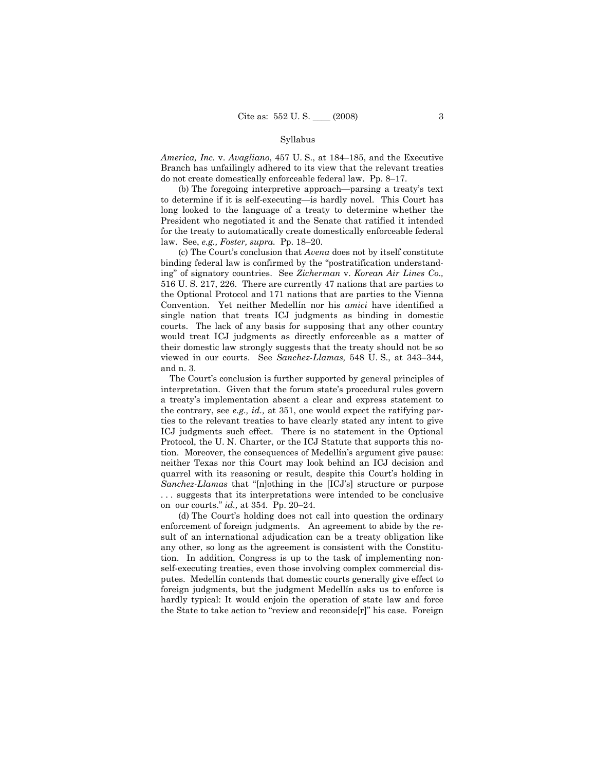*America, Inc.* v. *Avagliano*, 457 U. S., at 184–185, and the Executive Branch has unfailingly adhered to its view that the relevant treaties do not create domestically enforceable federal law. Pp. 8–17.

 (b) The foregoing interpretive approach—parsing a treaty's text to determine if it is self-executing—is hardly novel. This Court has long looked to the language of a treaty to determine whether the President who negotiated it and the Senate that ratified it intended for the treaty to automatically create domestically enforceable federal law. See, *e.g., Foster, supra.* Pp. 18–20.

 (c) The Court's conclusion that *Avena* does not by itself constitute binding federal law is confirmed by the "postratification understanding" of signatory countries. See *Zicherman* v. *Korean Air Lines Co.,* 516 U. S. 217, 226. There are currently 47 nations that are parties to the Optional Protocol and 171 nations that are parties to the Vienna Convention. Yet neither Medellín nor his *amici* have identified a single nation that treats ICJ judgments as binding in domestic courts. The lack of any basis for supposing that any other country would treat ICJ judgments as directly enforceable as a matter of their domestic law strongly suggests that the treaty should not be so viewed in our courts. See *Sanchez-Llamas,* 548 U. S., at 343–344, and n. 3.

 The Court's conclusion is further supported by general principles of interpretation. Given that the forum state's procedural rules govern a treaty's implementation absent a clear and express statement to the contrary, see *e.g., id.,* at 351, one would expect the ratifying parties to the relevant treaties to have clearly stated any intent to give ICJ judgments such effect. There is no statement in the Optional Protocol, the U. N. Charter, or the ICJ Statute that supports this notion. Moreover, the consequences of Medellín's argument give pause: neither Texas nor this Court may look behind an ICJ decision and quarrel with its reasoning or result, despite this Court's holding in *Sanchez-Llamas* that "[n]othing in the [ICJ's] structure or purpose . . . suggests that its interpretations were intended to be conclusive on our courts." *id.,* at 354. Pp. 20–24.

 (d) The Court's holding does not call into question the ordinary enforcement of foreign judgments. An agreement to abide by the result of an international adjudication can be a treaty obligation like any other, so long as the agreement is consistent with the Constitution. In addition, Congress is up to the task of implementing nonself-executing treaties, even those involving complex commercial disputes. Medellín contends that domestic courts generally give effect to foreign judgments, but the judgment Medellín asks us to enforce is hardly typical: It would enjoin the operation of state law and force the State to take action to "review and reconside[r]" his case. Foreign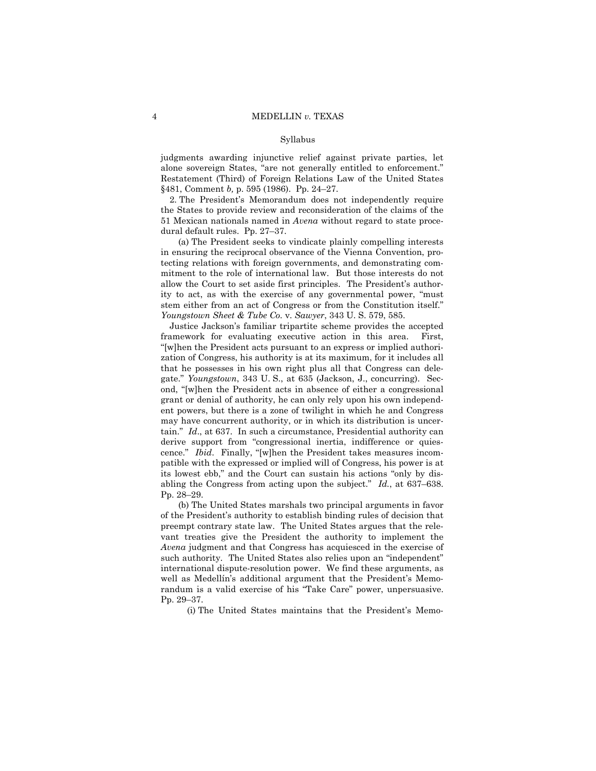judgments awarding injunctive relief against private parties, let alone sovereign States, "are not generally entitled to enforcement." Restatement (Third) of Foreign Relations Law of the United States §481, Comment *b,* p. 595 (1986). Pp. 24–27.

 2. The President's Memorandum does not independently require the States to provide review and reconsideration of the claims of the 51 Mexican nationals named in *Avena* without regard to state procedural default rules. Pp. 27–37.

 (a) The President seeks to vindicate plainly compelling interests in ensuring the reciprocal observance of the Vienna Convention, protecting relations with foreign governments, and demonstrating commitment to the role of international law. But those interests do not allow the Court to set aside first principles. The President's authority to act, as with the exercise of any governmental power, "must stem either from an act of Congress or from the Constitution itself." *Youngstown Sheet & Tube Co.* v. *Sawyer*, 343 U. S. 579, 585.

 Justice Jackson's familiar tripartite scheme provides the accepted framework for evaluating executive action in this area. First, "[w]hen the President acts pursuant to an express or implied authorization of Congress, his authority is at its maximum, for it includes all that he possesses in his own right plus all that Congress can delegate." *Youngstown*, 343 U. S., at 635 (Jackson, J., concurring). Second, "[w]hen the President acts in absence of either a congressional grant or denial of authority, he can only rely upon his own independent powers, but there is a zone of twilight in which he and Congress may have concurrent authority, or in which its distribution is uncertain." *Id*., at 637. In such a circumstance, Presidential authority can derive support from "congressional inertia, indifference or quiescence." *Ibid*. Finally, "[w]hen the President takes measures incompatible with the expressed or implied will of Congress, his power is at its lowest ebb," and the Court can sustain his actions "only by disabling the Congress from acting upon the subject." *Id.*, at 637–638. Pp. 28–29.

 (b) The United States marshals two principal arguments in favor of the President's authority to establish binding rules of decision that preempt contrary state law. The United States argues that the relevant treaties give the President the authority to implement the *Avena* judgment and that Congress has acquiesced in the exercise of such authority. The United States also relies upon an "independent" international dispute-resolution power. We find these arguments, as well as Medellín's additional argument that the President's Memorandum is a valid exercise of his "Take Care" power, unpersuasive. Pp. 29–37.

(i) The United States maintains that the President's Memo-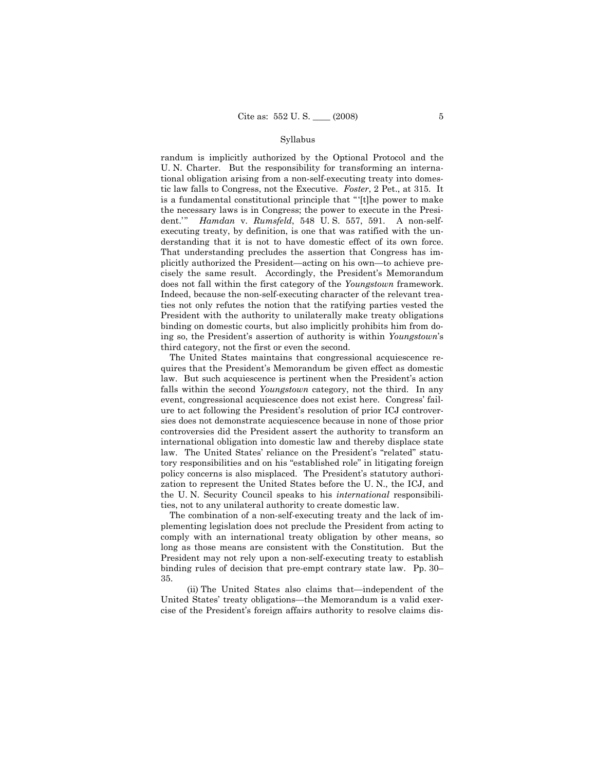randum is implicitly authorized by the Optional Protocol and the U. N. Charter. But the responsibility for transforming an international obligation arising from a non-self-executing treaty into domestic law falls to Congress, not the Executive. *Foster*, 2 Pet., at 315. It is a fundamental constitutional principle that "'[t]he power to make the necessary laws is in Congress; the power to execute in the President.'" *Hamdan* v. *Rumsfeld*, 548 U. S. 557, 591. A non-selfexecuting treaty, by definition, is one that was ratified with the understanding that it is not to have domestic effect of its own force. That understanding precludes the assertion that Congress has implicitly authorized the President—acting on his own—to achieve precisely the same result. Accordingly, the President's Memorandum does not fall within the first category of the *Youngstown* framework. Indeed, because the non-self-executing character of the relevant treaties not only refutes the notion that the ratifying parties vested the President with the authority to unilaterally make treaty obligations binding on domestic courts, but also implicitly prohibits him from doing so, the President's assertion of authority is within *Youngstown*'s third category, not the first or even the second.

 The United States maintains that congressional acquiescence requires that the President's Memorandum be given effect as domestic law. But such acquiescence is pertinent when the President's action falls within the second *Youngstown* category, not the third. In any event, congressional acquiescence does not exist here. Congress' failure to act following the President's resolution of prior ICJ controversies does not demonstrate acquiescence because in none of those prior controversies did the President assert the authority to transform an international obligation into domestic law and thereby displace state law. The United States' reliance on the President's "related" statutory responsibilities and on his "established role" in litigating foreign policy concerns is also misplaced. The President's statutory authorization to represent the United States before the U. N., the ICJ, and the U. N. Security Council speaks to his *international* responsibilities, not to any unilateral authority to create domestic law.

 The combination of a non-self-executing treaty and the lack of implementing legislation does not preclude the President from acting to comply with an international treaty obligation by other means, so long as those means are consistent with the Constitution. But the President may not rely upon a non-self-executing treaty to establish binding rules of decision that pre-empt contrary state law. Pp. 30– 35.

 (ii) The United States also claims that—independent of the United States' treaty obligations—the Memorandum is a valid exercise of the President's foreign affairs authority to resolve claims dis-